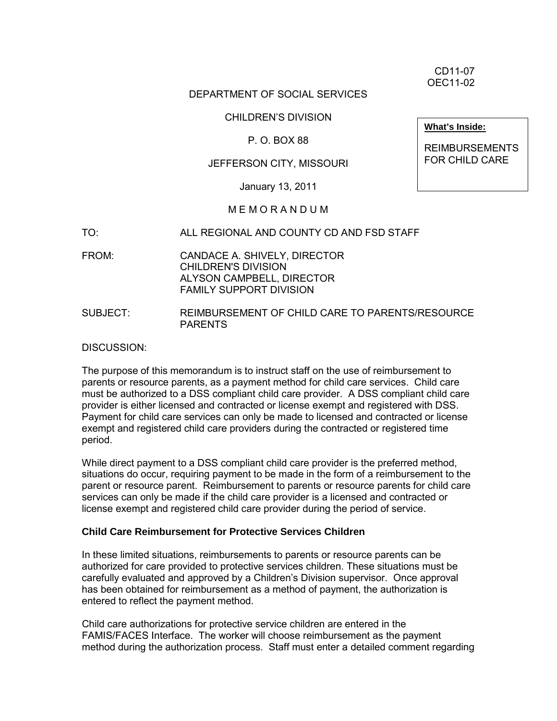CD11-07 OEC11-02

## DEPARTMENT OF SOCIAL SERVICES

CHILDREN'S DIVISION

## P. O. BOX 88

## JEFFERSON CITY, MISSOURI

January 13, 2011

### M E M O R A N D U M

- TO: ALL REGIONAL AND COUNTY CD AND FSD STAFF
- FROM: CANDACE A. SHIVELY, DIRECTOR CHILDREN'S DIVISION ALYSON CAMPBELL, DIRECTOR FAMILY SUPPORT DIVISION
- SUBJECT: REIMBURSEMENT OF CHILD CARE TO PARENTS/RESOURCE PARENTS

### DISCUSSION:

The purpose of this memorandum is to instruct staff on the use of reimbursement to parents or resource parents, as a payment method for child care services. Child care must be authorized to a DSS compliant child care provider. A DSS compliant child care provider is either licensed and contracted or license exempt and registered with DSS. Payment for child care services can only be made to licensed and contracted or license exempt and registered child care providers during the contracted or registered time period.

While direct payment to a DSS compliant child care provider is the preferred method, situations do occur, requiring payment to be made in the form of a reimbursement to the parent or resource parent. Reimbursement to parents or resource parents for child care services can only be made if the child care provider is a licensed and contracted or license exempt and registered child care provider during the period of service.

#### **Child Care Reimbursement for Protective Services Children**

In these limited situations, reimbursements to parents or resource parents can be authorized for care provided to protective services children. These situations must be carefully evaluated and approved by a Children's Division supervisor. Once approval has been obtained for reimbursement as a method of payment, the authorization is entered to reflect the payment method.

Child care authorizations for protective service children are entered in the FAMIS/FACES Interface. The worker will choose reimbursement as the payment method during the authorization process. Staff must enter a detailed comment regarding

**What's Inside:**

REIMBURSEMENTS FOR CHILD CARE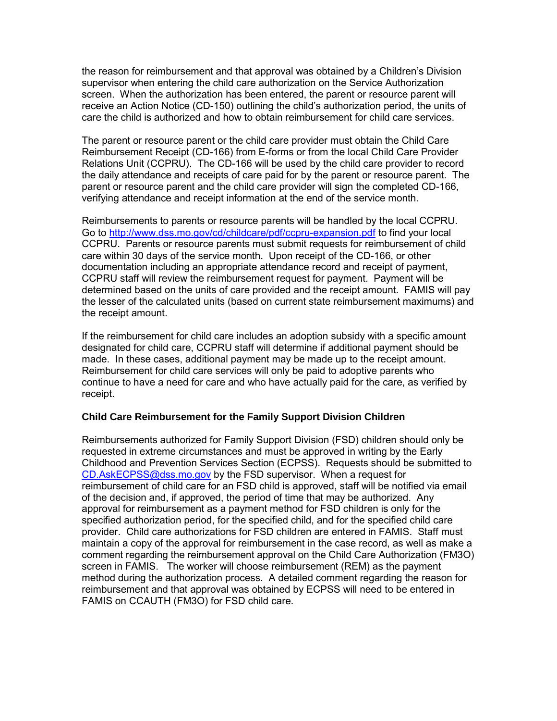the reason for reimbursement and that approval was obtained by a Children's Division supervisor when entering the child care authorization on the Service Authorization screen. When the authorization has been entered, the parent or resource parent will receive an Action Notice (CD-150) outlining the child's authorization period, the units of care the child is authorized and how to obtain reimbursement for child care services.

The parent or resource parent or the child care provider must obtain the Child Care Reimbursement Receipt (CD-166) from E-forms or from the local Child Care Provider Relations Unit (CCPRU). The CD-166 will be used by the child care provider to record the daily attendance and receipts of care paid for by the parent or resource parent. The parent or resource parent and the child care provider will sign the completed CD-166, verifying attendance and receipt information at the end of the service month.

Reimbursements to parents or resource parents will be handled by the local CCPRU. Go to<http://www.dss.mo.gov/cd/childcare/pdf/ccpru-expansion.pdf> to find your local CCPRU. Parents or resource parents must submit requests for reimbursement of child care within 30 days of the service month. Upon receipt of the CD-166, or other documentation including an appropriate attendance record and receipt of payment, CCPRU staff will review the reimbursement request for payment. Payment will be determined based on the units of care provided and the receipt amount. FAMIS will pay the lesser of the calculated units (based on current state reimbursement maximums) and the receipt amount.

If the reimbursement for child care includes an adoption subsidy with a specific amount designated for child care, CCPRU staff will determine if additional payment should be made. In these cases, additional payment may be made up to the receipt amount. Reimbursement for child care services will only be paid to adoptive parents who continue to have a need for care and who have actually paid for the care, as verified by receipt.

# **Child Care Reimbursement for the Family Support Division Children**

Reimbursements authorized for Family Support Division (FSD) children should only be requested in extreme circumstances and must be approved in writing by the Early Childhood and Prevention Services Section (ECPSS). Requests should be submitted to [CD.AskECPSS@dss.mo.gov](mailto:CD.AskECPSS@dss.mo.gov) by the FSD supervisor. When a request for reimbursement of child care for an FSD child is approved, staff will be notified via email of the decision and, if approved, the period of time that may be authorized. Any approval for reimbursement as a payment method for FSD children is only for the specified authorization period, for the specified child, and for the specified child care provider. Child care authorizations for FSD children are entered in FAMIS. Staff must maintain a copy of the approval for reimbursement in the case record, as well as make a comment regarding the reimbursement approval on the Child Care Authorization (FM3O) screen in FAMIS. The worker will choose reimbursement (REM) as the payment method during the authorization process. A detailed comment regarding the reason for reimbursement and that approval was obtained by ECPSS will need to be entered in FAMIS on CCAUTH (FM3O) for FSD child care.